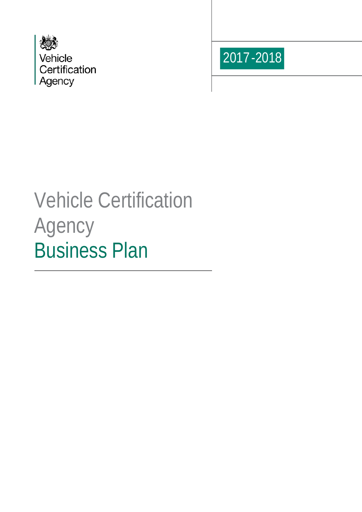



# Vehicle Certification Agency Business Plan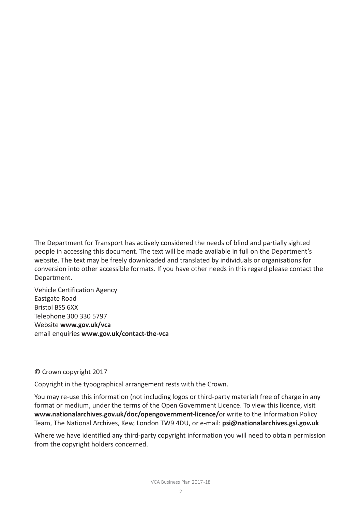The Department for Transport has actively considered the needs of blind and partially sighted people in accessing this document. The text will be made available in full on the Department's website. The text may be freely downloaded and translated by individuals or organisations for conversion into other accessible formats. If you have other needs in this regard please contact the Department.

Vehicle Certification Agency Eastgate Road Bristol BS5 6XX Telephone 300 330 5797 Website **www.gov.uk/vca** email enquiries **www.gov.uk/contact-the-vca**

#### © Crown copyright 2017

Copyright in the typographical arrangement rests with the Crown.

You may re-use this information (not including logos or third-party material) free of charge in any format or medium, under the terms of the Open Government Licence. To view this licence, visit **[www.nationalarchives.gov.uk/doc/opengovernment-licence/](http://www.nationalarchives.gov.uk/doc/opengovernment-licence/or)**or write to the Information Policy Team, The National Archives, Kew, London TW9 4DU, or e-mail: **[psi@nationalarchives.gsi.gov.uk](mailto:psi@nationalarchives.gsi.gov.uk)**

Where we have identified any third-party copyright information you will need to obtain permission from the copyright holders concerned.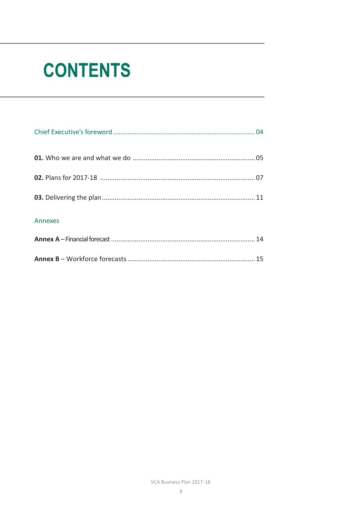# **CONTENTS**

| Annexes |  |
|---------|--|
|         |  |
|         |  |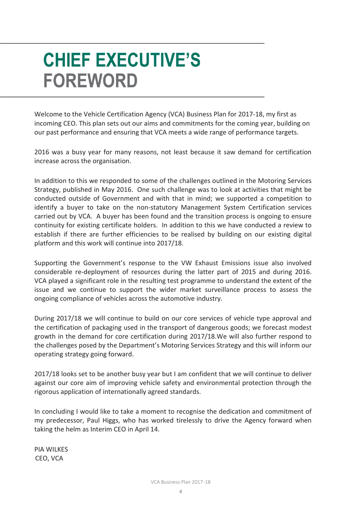# **CHIEF EXECUTIVE'S FOREWORD**

Welcome to the Vehicle Certification Agency (VCA) Business Plan for 2017-18, my first as incoming CEO. This plan sets out our aims and commitments for the coming year, building on our past performance and ensuring that VCA meets a wide range of performance targets.

2016 was a busy year for many reasons, not least because it saw demand for certification increase across the organisation.

In addition to this we responded to some of the challenges outlined in the Motoring Services Strategy, published in May 2016. One such challenge was to look at activities that might be conducted outside of Government and with that in mind; we supported a competition to identify a buyer to take on the non-statutory Management System Certification services carried out by VCA. A buyer has been found and the transition process is ongoing to ensure continuity for existing certificate holders. In addition to this we have conducted a review to establish if there are further efficiencies to be realised by building on our existing digital platform and this work will continue into 2017/18.

Supporting the Government's response to the VW Exhaust Emissions issue also involved considerable re-deployment of resources during the latter part of 2015 and during 2016. VCA played a significant role in the resulting test programme to understand the extent of the issue and we continue to support the wider market surveillance process to assess the ongoing compliance of vehicles across the automotive industry.

During 2017/18 we will continue to build on our core services of vehicle type approval and the certification of packaging used in the transport of dangerous goods; we forecast modest growth in the demand for core certification during 2017/18.We will also further respond to the challenges posed by the Department's Motoring Services Strategy and this will inform our operating strategy going forward.

2017/18 looks set to be another busy year but I am confident that we will continue to deliver against our core aim of improving vehicle safety and environmental protection through the rigorous application of internationally agreed standards.

In concluding I would like to take a moment to recognise the dedication and commitment of my predecessor, Paul Higgs, who has worked tirelessly to drive the Agency forward when taking the helm as Interim CEO in April 14.

PIA WILKES CEO, VCA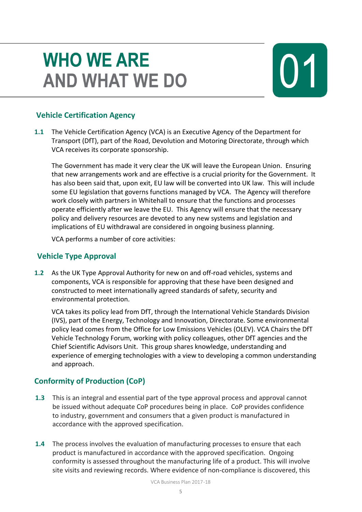# **WHO WE ARE AND WHAT WE DO**



### **Vehicle Certification Agency**

**1.1** The Vehicle Certification Agency (VCA) is an Executive Agency of the Department for Transport (DfT), part of the Road, Devolution and Motoring Directorate, through which VCA receives its corporate sponsorship.

The Government has made it very clear the UK will leave the European Union. Ensuring that new arrangements work and are effective is a crucial priority for the Government. It has also been said that, upon exit, EU law will be converted into UK law. This will include some EU legislation that governs functions managed by VCA. The Agency will therefore work closely with partners in Whitehall to ensure that the functions and processes operate efficiently after we leave the EU. This Agency will ensure that the necessary policy and delivery resources are devoted to any new systems and legislation and implications of EU withdrawal are considered in ongoing business planning.

VCA performs a number of core activities:

### **Vehicle Type Approval**

**1.2** As the UK Type Approval Authority for new on and off-road vehicles, systems and components, VCA is responsible for approving that these have been designed and constructed to meet internationally agreed standards of safety, security and environmental protection.

VCA takes its policy lead from DfT, through the International Vehicle Standards Division (IVS), part of the Energy, Technology and Innovation, Directorate. Some environmental policy lead comes from the Office for Low Emissions Vehicles (OLEV). VCA Chairs the DfT Vehicle Technology Forum, working with policy colleagues, other DfT agencies and the Chief Scientific Advisors Unit. This group shares knowledge, understanding and experience of emerging technologies with a view to developing a common understanding and approach.

### **Conformity of Production (CoP)**

- **1.3** This is an integral and essential part of the type approval process and approval cannot be issued without adequate CoP procedures being in place. CoP provides confidence to industry, government and consumers that a given product is manufactured in accordance with the approved specification.
- **1.4** The process involves the evaluation of manufacturing processes to ensure that each product is manufactured in accordance with the approved specification. Ongoing conformity is assessed throughout the manufacturing life of a product. This will involve site visits and reviewing records. Where evidence of non-compliance is discovered, this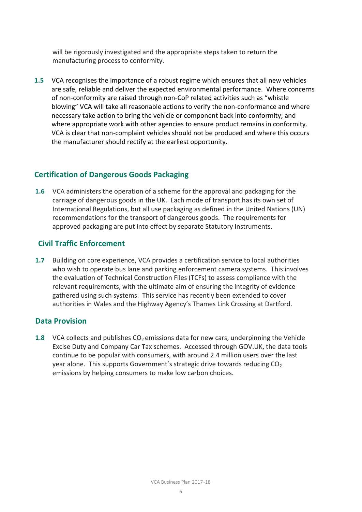will be rigorously investigated and the appropriate steps taken to return the manufacturing process to conformity.

**1.5** VCA recognises the importance of a robust regime which ensures that all new vehicles are safe, reliable and deliver the expected environmental performance. Where concerns of non-conformity are raised through non-CoP related activities such as "whistle blowing" VCA will take all reasonable actions to verify the non-conformance and where necessary take action to bring the vehicle or component back into conformity; and where appropriate work with other agencies to ensure product remains in conformity. VCA is clear that non-complaint vehicles should not be produced and where this occurs the manufacturer should rectify at the earliest opportunity.

#### **Certification of Dangerous Goods Packaging**

**1.6** VCA administers the operation of a scheme for the approval and packaging for the carriage of dangerous goods in the UK. Each mode of transport has its own set of International Regulations, but all use packaging as defined in the United Nations (UN) recommendations for the transport of dangerous goods. The requirements for approved packaging are put into effect by separate Statutory Instruments.

#### **Civil Traffic Enforcement**

**1.7** Building on core experience, VCA provides a certification service to local authorities who wish to operate bus lane and parking enforcement camera systems. This involves the evaluation of Technical Construction Files (TCFs) to assess compliance with the relevant requirements, with the ultimate aim of ensuring the integrity of evidence gathered using such systems. This service has recently been extended to cover authorities in Wales and the Highway Agency's Thames Link Crossing at Dartford.

#### **Data Provision**

**1.8** VCA collects and publishes CO<sub>2</sub> emissions data for new cars, underpinning the Vehicle Excise Duty and Company Car Tax schemes. Accessed through GOV.UK, the data tools continue to be popular with consumers, with around 2.4 million users over the last year alone. This supports Government's strategic drive towards reducing  $CO<sub>2</sub>$ emissions by helping consumers to make low carbon choices.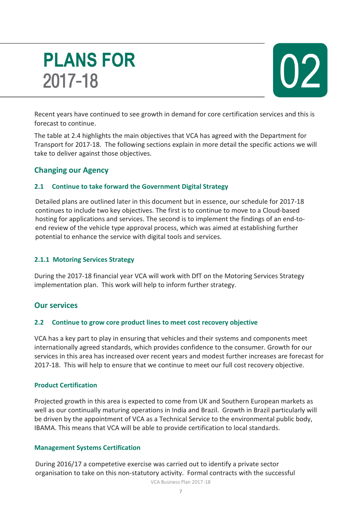# **PLANS FOR** 2017-18



Recent years have continued to see growth in demand for core certification services and this is forecast to continue.

The table at 2.4 highlights the main objectives that VCA has agreed with the Department for Transport for 2017-18. The following sections explain in more detail the specific actions we will take to deliver against those objectives.

### **Changing our Agency**

#### **2.1 Continue to take forward the Government Digital Strategy**

Detailed plans are outlined later in this document but in essence, our schedule for 2017-18 continues to include two key objectives. The first is to continue to move to a Cloud-based hosting for applications and services. The second is to implement the findings of an end-toend review of the vehicle type approval process, which was aimed at establishing further potential to enhance the service with digital tools and services.

#### **2.1.1 Motoring Services Strategy**

During the 2017-18 financial year VCA will work with DfT on the Motoring Services Strategy implementation plan. This work will help to inform further strategy.

### **Our services**

#### **2.2 Continue to grow core product lines to meet cost recovery objective**

VCA has a key part to play in ensuring that vehicles and their systems and components meet internationally agreed standards, which provides confidence to the consumer. Growth for our services in this area has increased over recent years and modest further increases are forecast for 2017-18. This will help to ensure that we continue to meet our full cost recovery objective.

#### **Product Certification**

Projected growth in this area is expected to come from UK and Southern European markets as well as our continually maturing operations in India and Brazil. Growth in Brazil particularly will be driven by the appointment of VCA as a Technical Service to the environmental public body, IBAMA. This means that VCA will be able to provide certification to local standards.

#### **Management Systems Certification**

During 2016/17 a competetive exercise was carried out to identify a private sector organisation to take on this non-statutory activity. Formal contracts with the successful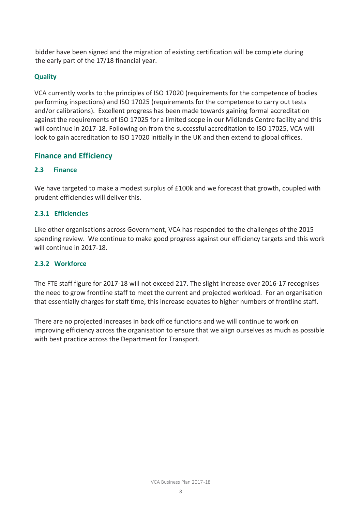bidder have been signed and the migration of existing certification will be complete during the early part of the 17/18 financial year.

#### **Quality**

VCA currently works to the principles of ISO 17020 (requirements for the competence of bodies performing inspections) and ISO 17025 (requirements for the competence to carry out tests and/or calibrations). Excellent progress has been made towards gaining formal accreditation against the requirements of ISO 17025 for a limited scope in our Midlands Centre facility and this will continue in 2017-18. Following on from the successful accreditation to ISO 17025, VCA will look to gain accreditation to ISO 17020 initially in the UK and then extend to global offices.

### **Finance and Efficiency**

#### **2.3 Finance**

We have targeted to make a modest surplus of £100k and we forecast that growth, coupled with prudent efficiencies will deliver this.

#### **2.3.1 Efficiencies**

Like other organisations across Government, VCA has responded to the challenges of the 2015 spending review. We continue to make good progress against our efficiency targets and this work will continue in 2017-18.

#### **2.3.2 Workforce**

The FTE staff figure for 2017-18 will not exceed 217. The slight increase over 2016-17 recognises the need to grow frontline staff to meet the current and projected workload. For an organisation that essentially charges for staff time, this increase equates to higher numbers of frontline staff.

There are no projected increases in back office functions and we will continue to work on improving efficiency across the organisation to ensure that we align ourselves as much as possible with best practice across the Department for Transport.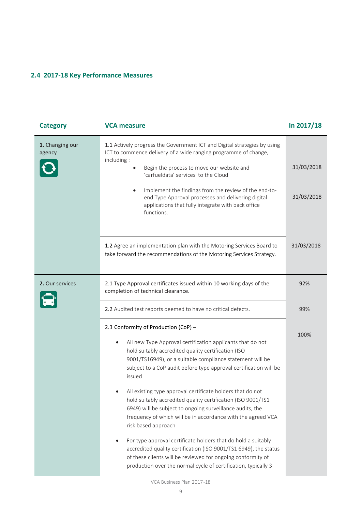### **2.4 2017-18 Key Performance Measures**

| <b>Category</b>           | <b>VCA measure</b>                                                                                                                                                                                                                                                                                                                                                                                                                                                                                                                                                                                                                                                                                                                                                                                                                                                         | In 2017/18               |
|---------------------------|----------------------------------------------------------------------------------------------------------------------------------------------------------------------------------------------------------------------------------------------------------------------------------------------------------------------------------------------------------------------------------------------------------------------------------------------------------------------------------------------------------------------------------------------------------------------------------------------------------------------------------------------------------------------------------------------------------------------------------------------------------------------------------------------------------------------------------------------------------------------------|--------------------------|
| 1. Changing our<br>agency | 1.1 Actively progress the Government ICT and Digital strategies by using<br>ICT to commence delivery of a wide ranging programme of change,<br>including:<br>Begin the process to move our website and<br>'carfueldata' services to the Cloud<br>Implement the findings from the review of the end-to-<br>$\bullet$<br>end Type Approval processes and delivering digital<br>applications that fully integrate with back office<br>functions.                                                                                                                                                                                                                                                                                                                                                                                                                              | 31/03/2018<br>31/03/2018 |
|                           | 1.2 Agree an implementation plan with the Motoring Services Board to<br>take forward the recommendations of the Motoring Services Strategy.                                                                                                                                                                                                                                                                                                                                                                                                                                                                                                                                                                                                                                                                                                                                | 31/03/2018               |
| 2. Our services           | 2.1 Type Approval certificates issued within 10 working days of the<br>completion of technical clearance.                                                                                                                                                                                                                                                                                                                                                                                                                                                                                                                                                                                                                                                                                                                                                                  | 92%                      |
|                           | 2.2 Audited test reports deemed to have no critical defects.                                                                                                                                                                                                                                                                                                                                                                                                                                                                                                                                                                                                                                                                                                                                                                                                               | 99%                      |
|                           | 2.3 Conformity of Production (CoP) -<br>All new Type Approval certification applicants that do not<br>$\bullet$<br>hold suitably accredited quality certification (ISO<br>9001/TS16949), or a suitable compliance statement will be<br>subject to a CoP audit before type approval certification will be<br>issued<br>All existing type approval certificate holders that do not<br>hold suitably accredited quality certification (ISO 9001/TS1<br>6949) will be subject to ongoing surveillance audits, the<br>frequency of which will be in accordance with the agreed VCA<br>risk based approach<br>For type approval certificate holders that do hold a suitably<br>accredited quality certification (ISO 9001/TS1 6949), the status<br>of these clients will be reviewed for ongoing conformity of<br>production over the normal cycle of certification, typically 3 | 100%                     |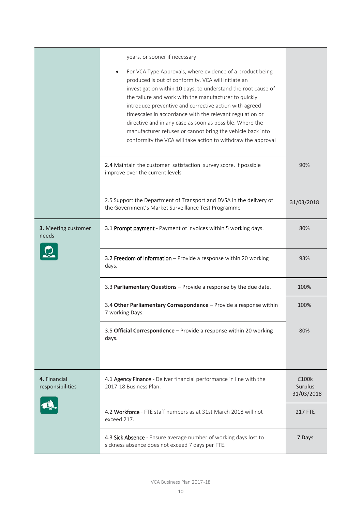|                                  | years, or sooner if necessary<br>For VCA Type Approvals, where evidence of a product being<br>$\bullet$<br>produced is out of conformity, VCA will initiate an<br>investigation within 10 days, to understand the root cause of<br>the failure and work with the manufacturer to quickly<br>introduce preventive and corrective action with agreed<br>timescales in accordance with the relevant regulation or<br>directive and in any case as soon as possible. Where the<br>manufacturer refuses or cannot bring the vehicle back into<br>conformity the VCA will take action to withdraw the approval |                                |
|----------------------------------|----------------------------------------------------------------------------------------------------------------------------------------------------------------------------------------------------------------------------------------------------------------------------------------------------------------------------------------------------------------------------------------------------------------------------------------------------------------------------------------------------------------------------------------------------------------------------------------------------------|--------------------------------|
|                                  | 2.4 Maintain the customer satisfaction survey score, if possible<br>improve over the current levels                                                                                                                                                                                                                                                                                                                                                                                                                                                                                                      | 90%                            |
|                                  | 2.5 Support the Department of Transport and DVSA in the delivery of<br>the Government's Market Surveillance Test Programme                                                                                                                                                                                                                                                                                                                                                                                                                                                                               | 31/03/2018                     |
| 3. Meeting customer<br>needs     | 3.1 Prompt payment - Payment of invoices within 5 working days.                                                                                                                                                                                                                                                                                                                                                                                                                                                                                                                                          | 80%                            |
|                                  | 3.2 Freedom of Information - Provide a response within 20 working<br>days.                                                                                                                                                                                                                                                                                                                                                                                                                                                                                                                               | 93%                            |
|                                  | 3.3 Parliamentary Questions - Provide a response by the due date.                                                                                                                                                                                                                                                                                                                                                                                                                                                                                                                                        | 100%                           |
|                                  | 3.4 Other Parliamentary Correspondence - Provide a response within<br>7 working Days.                                                                                                                                                                                                                                                                                                                                                                                                                                                                                                                    | 100%                           |
|                                  | 3.5 Official Correspondence - Provide a response within 20 working<br>days.                                                                                                                                                                                                                                                                                                                                                                                                                                                                                                                              | 80%                            |
| 4. Financial<br>responsibilities | 4.1 Agency Finance - Deliver financial performance in line with the<br>2017-18 Business Plan.                                                                                                                                                                                                                                                                                                                                                                                                                                                                                                            | £100k<br>Surplus<br>31/03/2018 |
|                                  | 4.2 Workforce - FTE staff numbers as at 31st March 2018 will not<br>exceed 217.                                                                                                                                                                                                                                                                                                                                                                                                                                                                                                                          | <b>217 FTE</b>                 |
|                                  | 4.3 Sick Absence - Ensure average number of working days lost to<br>sickness absence does not exceed 7 days per FTE.                                                                                                                                                                                                                                                                                                                                                                                                                                                                                     | 7 Days                         |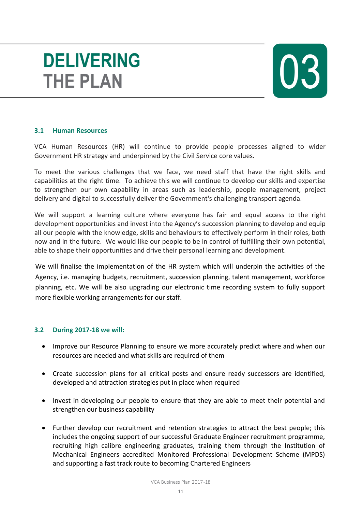# **DELIVERING THE PLAN**



#### **3.1 Human Resources**

VCA Human Resources (HR) will continue to provide people processes aligned to wider Government HR strategy and underpinned by the Civil Service core values.

To meet the various challenges that we face, we need staff that have the right skills and capabilities at the right time. To achieve this we will continue to develop our skills and expertise to strengthen our own capability in areas such as leadership, people management, project delivery and digital to successfully deliver the Government's challenging transport agenda.

We will support a learning culture where everyone has fair and equal access to the right development opportunities and invest into the Agency's succession planning to develop and equip all our people with the knowledge, skills and behaviours to effectively perform in their roles, both now and in the future. We would like our people to be in control of fulfilling their own potential, able to shape their opportunities and drive their personal learning and development.

We will finalise the implementation of the HR system which will underpin the activities of the Agency, i.e. managing budgets, recruitment, succession planning, talent management, workforce planning, etc. We will be also upgrading our electronic time recording system to fully support more flexible working arrangements for our staff.

#### **3.2 During 2017-18 we will:**

- Improve our Resource Planning to ensure we more accurately predict where and when our resources are needed and what skills are required of them
- Create succession plans for all critical posts and ensure ready successors are identified, developed and attraction strategies put in place when required
- Invest in developing our people to ensure that they are able to meet their potential and strengthen our business capability
- Further develop our recruitment and retention strategies to attract the best people; this includes the ongoing support of our successful Graduate Engineer recruitment programme, recruiting high calibre engineering graduates, training them through the Institution of Mechanical Engineers accredited Monitored Professional Development Scheme (MPDS) and supporting a fast track route to becoming Chartered Engineers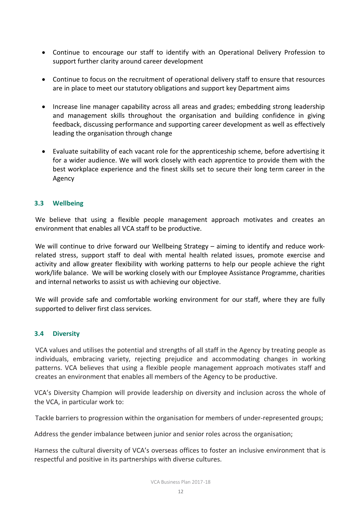- Continue to encourage our staff to identify with an Operational Delivery Profession to support further clarity around career development
- Continue to focus on the recruitment of operational delivery staff to ensure that resources are in place to meet our statutory obligations and support key Department aims
- Increase line manager capability across all areas and grades; embedding strong leadership and management skills throughout the organisation and building confidence in giving feedback, discussing performance and supporting career development as well as effectively leading the organisation through change
- Evaluate suitability of each vacant role for the apprenticeship scheme, before advertising it for a wider audience. We will work closely with each apprentice to provide them with the best workplace experience and the finest skills set to secure their long term career in the Agency

#### **3.3 Wellbeing**

We believe that using a flexible people management approach motivates and creates an environment that enables all VCA staff to be productive.

We will continue to drive forward our Wellbeing Strategy – aiming to identify and reduce workrelated stress, support staff to deal with mental health related issues, promote exercise and activity and allow greater flexibility with working patterns to help our people achieve the right work/life balance. We will be working closely with our Employee Assistance Programme, charities and internal networks to assist us with achieving our objective.

We will provide safe and comfortable working environment for our staff, where they are fully supported to deliver first class services.

#### **3.4 Diversity**

VCA values and utilises the potential and strengths of all staff in the Agency by treating people as individuals, embracing variety, rejecting prejudice and accommodating changes in working patterns. VCA believes that using a flexible people management approach motivates staff and creates an environment that enables all members of the Agency to be productive.

VCA's Diversity Champion will provide leadership on diversity and inclusion across the whole of the VCA, in particular work to:

Tackle barriers to progression within the organisation for members of under-represented groups;

Address the gender imbalance between junior and senior roles across the organisation;

Harness the cultural diversity of VCA's overseas offices to foster an inclusive environment that is respectful and positive in its partnerships with diverse cultures.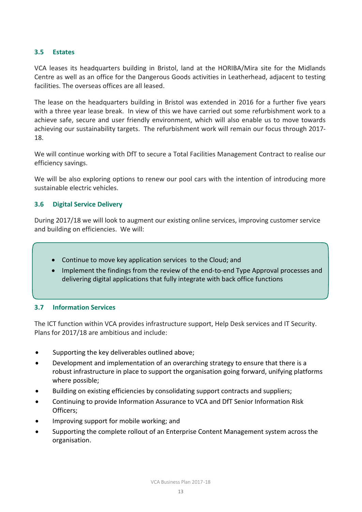#### **3.5 Estates**

VCA leases its headquarters building in Bristol, land at the HORIBA/Mira site for the Midlands Centre as well as an office for the Dangerous Goods activities in Leatherhead, adjacent to testing facilities. The overseas offices are all leased.

The lease on the headquarters building in Bristol was extended in 2016 for a further five years with a three year lease break. In view of this we have carried out some refurbishment work to a achieve safe, secure and user friendly environment, which will also enable us to move towards achieving our sustainability targets. The refurbishment work will remain our focus through 2017- 18.

We will continue working with DfT to secure a Total Facilities Management Contract to realise our efficiency savings.

We will be also exploring options to renew our pool cars with the intention of introducing more sustainable electric vehicles.

#### **3.6 Digital Service Delivery**

During 2017/18 we will look to augment our existing online services, improving customer service and building on efficiencies. We will:

- Continue to move key application services to the Cloud; and
- Implement the findings from the review of the end-to-end Type Approval processes and delivering digital applications that fully integrate with back office functions

#### **3.7 Information Services**

The ICT function within VCA provides infrastructure support, Help Desk services and IT Security. Plans for 2017/18 are ambitious and include:

- Supporting the key deliverables outlined above;
- Development and implementation of an overarching strategy to ensure that there is a robust infrastructure in place to support the organisation going forward, unifying platforms where possible;
- Building on existing efficiencies by consolidating support contracts and suppliers;
- Continuing to provide Information Assurance to VCA and DfT Senior Information Risk Officers;
- Improving support for mobile working; and
- Supporting the complete rollout of an Enterprise Content Management system across the organisation.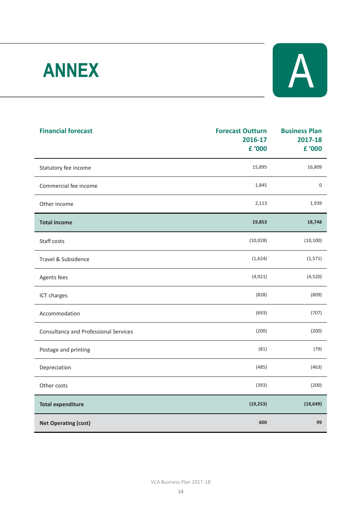# **ANNEX**



| <b>Financial forecast</b>                    | <b>Forecast Outturn</b><br>2016-17<br>£ '000 | <b>Business Plan</b><br>2017-18<br>£ '000 |
|----------------------------------------------|----------------------------------------------|-------------------------------------------|
|                                              |                                              |                                           |
| Statutory fee income                         | 15,895                                       | 16,809                                    |
| Commercial fee income                        | 1,845                                        | $\mathbf 0$                               |
| Other income                                 | 2,113                                        | 1,939                                     |
| <b>Total income</b>                          | 19,853                                       | 18,748                                    |
| Staff costs                                  | (10, 028)                                    | (10, 100)                                 |
| Travel & Subsidence                          | (1,624)                                      | (1, 571)                                  |
| Agents fees                                  | (4, 921)                                     | (4,520)                                   |
| ICT charges                                  | (828)                                        | (809)                                     |
| Accommodation                                | (693)                                        | (707)                                     |
| <b>Consultancy and Professional Services</b> | (200)                                        | (200)                                     |
| Postage and printing                         | (81)                                         | (79)                                      |
| Depreciation                                 | (485)                                        | (463)                                     |
| Other costs                                  | (393)                                        | (200)                                     |
| <b>Total expenditure</b>                     | (19, 253)                                    | (18, 649)                                 |
| <b>Net Operating (cost)</b>                  | 600                                          | 99                                        |